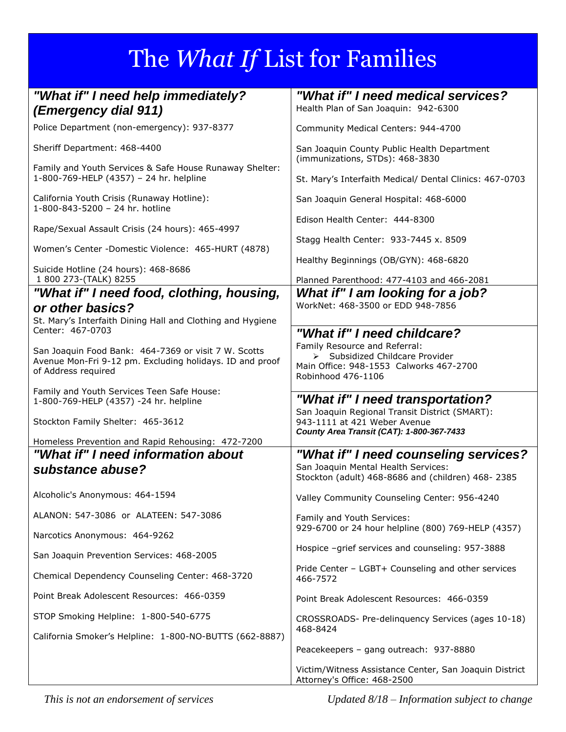## The *What If* List for Families

| "What if" I need help immediately?<br>(Emergency dial 911)                                         | "What if" I need medical services?<br>Health Plan of San Joaquin: 942-6300                                                  |
|----------------------------------------------------------------------------------------------------|-----------------------------------------------------------------------------------------------------------------------------|
| Police Department (non-emergency): 937-8377                                                        | Community Medical Centers: 944-4700                                                                                         |
| Sheriff Department: 468-4400                                                                       | San Joaquin County Public Health Department<br>(immunizations, STDs): 468-3830                                              |
| Family and Youth Services & Safe House Runaway Shelter:<br>1-800-769-HELP (4357) - 24 hr. helpline | St. Mary's Interfaith Medical/ Dental Clinics: 467-0703                                                                     |
| California Youth Crisis (Runaway Hotline):<br>1-800-843-5200 - 24 hr. hotline                      | San Joaquin General Hospital: 468-6000                                                                                      |
| Rape/Sexual Assault Crisis (24 hours): 465-4997                                                    | Edison Health Center: 444-8300                                                                                              |
| Women's Center -Domestic Violence: 465-HURT (4878)                                                 | Stagg Health Center: 933-7445 x. 8509                                                                                       |
| Suicide Hotline (24 hours): 468-8686                                                               | Healthy Beginnings (OB/GYN): 468-6820                                                                                       |
| 1 800 273-(TALK) 8255                                                                              | Planned Parenthood: 477-4103 and 466-2081                                                                                   |
| "What if" I need food, clothing, housing,<br>or other basics?                                      | What if" I am looking for a job?<br>WorkNet: 468-3500 or EDD 948-7856                                                       |
| St. Mary's Interfaith Dining Hall and Clothing and Hygiene                                         |                                                                                                                             |
| Center: 467-0703                                                                                   | "What if" I need childcare?                                                                                                 |
| San Joaquin Food Bank: 464-7369 or visit 7 W. Scotts                                               | Family Resource and Referral:<br>> Subsidized Childcare Provider                                                            |
| Avenue Mon-Fri 9-12 pm. Excluding holidays. ID and proof                                           | Main Office: 948-1553 Calworks 467-2700                                                                                     |
| of Address required                                                                                | Robinhood 476-1106                                                                                                          |
| Family and Youth Services Teen Safe House:<br>1-800-769-HELP (4357) -24 hr. helpline               | "What if" I need transportation?                                                                                            |
| Stockton Family Shelter: 465-3612                                                                  | San Joaquin Regional Transit District (SMART):<br>943-1111 at 421 Weber Avenue<br>County Area Transit (CAT): 1-800-367-7433 |
| Homeless Prevention and Rapid Rehousing: 472-7200                                                  |                                                                                                                             |
| "What if" I need information about                                                                 | "What if" I need counseling services?                                                                                       |
| substance abuse?                                                                                   | San Joaquin Mental Health Services:<br>Stockton (adult) 468-8686 and (children) 468-2385                                    |
| Alcoholic's Anonymous: 464-1594                                                                    | Valley Community Counseling Center: 956-4240                                                                                |
| ALANON: 547-3086 or ALATEEN: 547-3086                                                              | Family and Youth Services:<br>929-6700 or 24 hour helpline (800) 769-HELP (4357)                                            |
| Narcotics Anonymous: 464-9262                                                                      |                                                                                                                             |
| San Joaquin Prevention Services: 468-2005                                                          | Hospice -grief services and counseling: 957-3888                                                                            |
| Chemical Dependency Counseling Center: 468-3720                                                    | Pride Center - LGBT+ Counseling and other services<br>466-7572                                                              |
| Point Break Adolescent Resources: 466-0359                                                         | Point Break Adolescent Resources: 466-0359                                                                                  |
| STOP Smoking Helpline: 1-800-540-6775                                                              | CROSSROADS- Pre-delinquency Services (ages 10-18)<br>468-8424                                                               |
| California Smoker's Helpline: 1-800-NO-BUTTS (662-8887)                                            |                                                                                                                             |
|                                                                                                    | Peacekeepers - gang outreach: 937-8880                                                                                      |
|                                                                                                    | Victim/Witness Assistance Center, San Joaquin District<br>Attorney's Office: 468-2500                                       |